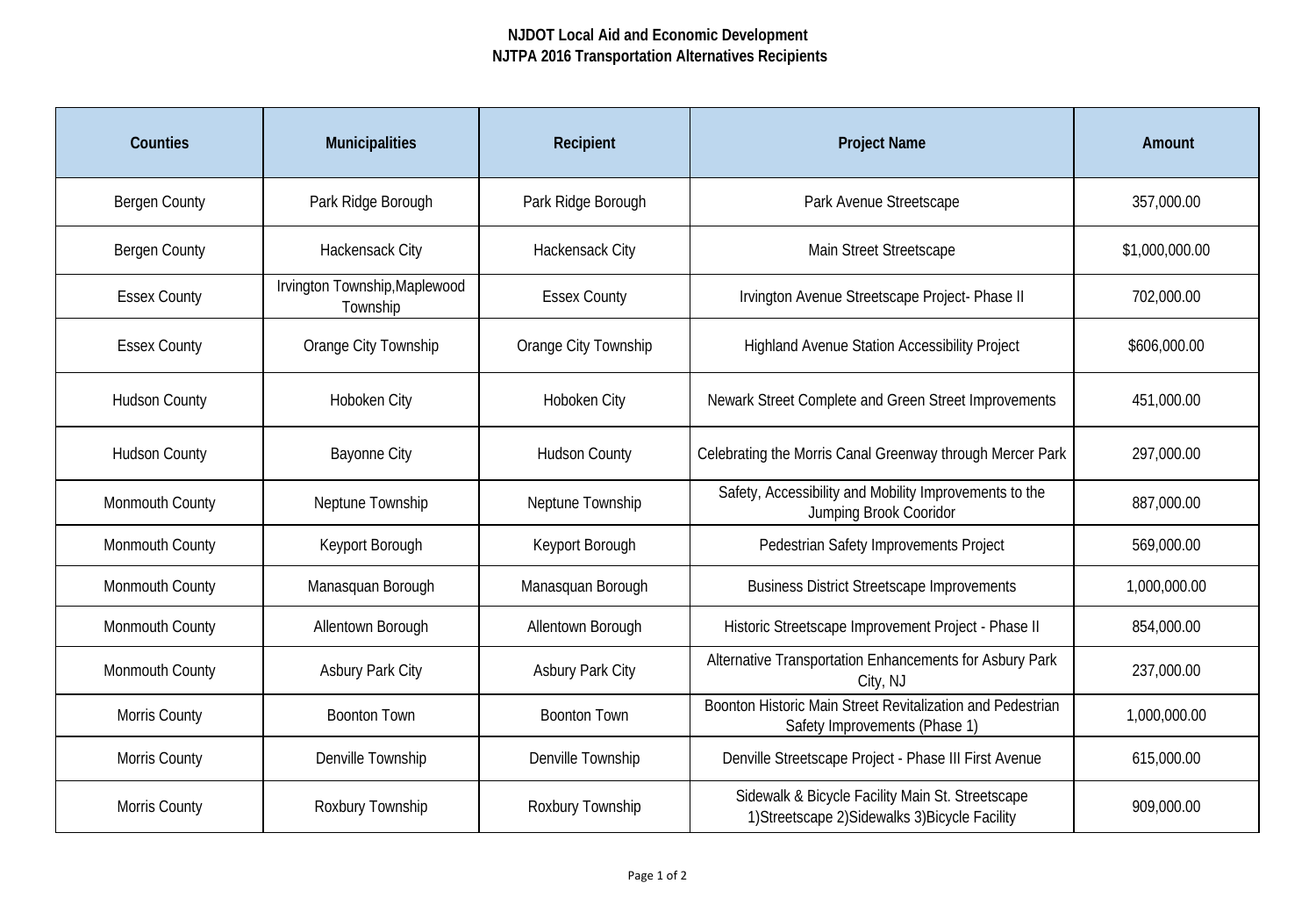## **NJDOT Local Aid and Economic Development NJTPA 2016 Transportation Alternatives Recipients**

| <b>Counties</b>      | <b>Municipalities</b>                     | Recipient               | <b>Project Name</b>                                                                                 | <b>Amount</b>  |
|----------------------|-------------------------------------------|-------------------------|-----------------------------------------------------------------------------------------------------|----------------|
| <b>Bergen County</b> | Park Ridge Borough                        | Park Ridge Borough      | Park Avenue Streetscape                                                                             | 357,000.00     |
| <b>Bergen County</b> | Hackensack City                           | Hackensack City         | Main Street Streetscape                                                                             | \$1,000,000.00 |
| <b>Essex County</b>  | Irvington Township, Maplewood<br>Township | <b>Essex County</b>     | Irvington Avenue Streetscape Project- Phase II                                                      | 702,000.00     |
| <b>Essex County</b>  | Orange City Township                      | Orange City Township    | <b>Highland Avenue Station Accessibility Project</b>                                                | \$606,000.00   |
| <b>Hudson County</b> | Hoboken City                              | Hoboken City            | Newark Street Complete and Green Street Improvements                                                | 451,000.00     |
| <b>Hudson County</b> | <b>Bayonne City</b>                       | <b>Hudson County</b>    | Celebrating the Morris Canal Greenway through Mercer Park                                           | 297,000.00     |
| Monmouth County      | Neptune Township                          | Neptune Township        | Safety, Accessibility and Mobility Improvements to the<br>Jumping Brook Cooridor                    | 887,000.00     |
| Monmouth County      | Keyport Borough                           | Keyport Borough         | Pedestrian Safety Improvements Project                                                              | 569,000.00     |
| Monmouth County      | Manasquan Borough                         | Manasquan Borough       | <b>Business District Streetscape Improvements</b>                                                   | 1,000,000.00   |
| Monmouth County      | Allentown Borough                         | Allentown Borough       | Historic Streetscape Improvement Project - Phase II                                                 | 854,000.00     |
| Monmouth County      | <b>Asbury Park City</b>                   | <b>Asbury Park City</b> | Alternative Transportation Enhancements for Asbury Park<br>City, NJ                                 | 237,000.00     |
| Morris County        | <b>Boonton Town</b>                       | <b>Boonton Town</b>     | Boonton Historic Main Street Revitalization and Pedestrian<br>Safety Improvements (Phase 1)         | 1,000,000.00   |
| Morris County        | Denville Township                         | Denville Township       | Denville Streetscape Project - Phase III First Avenue                                               | 615,000.00     |
| Morris County        | Roxbury Township                          | Roxbury Township        | Sidewalk & Bicycle Facility Main St. Streetscape<br>1) Streetscape 2) Sidewalks 3) Bicycle Facility | 909,000.00     |